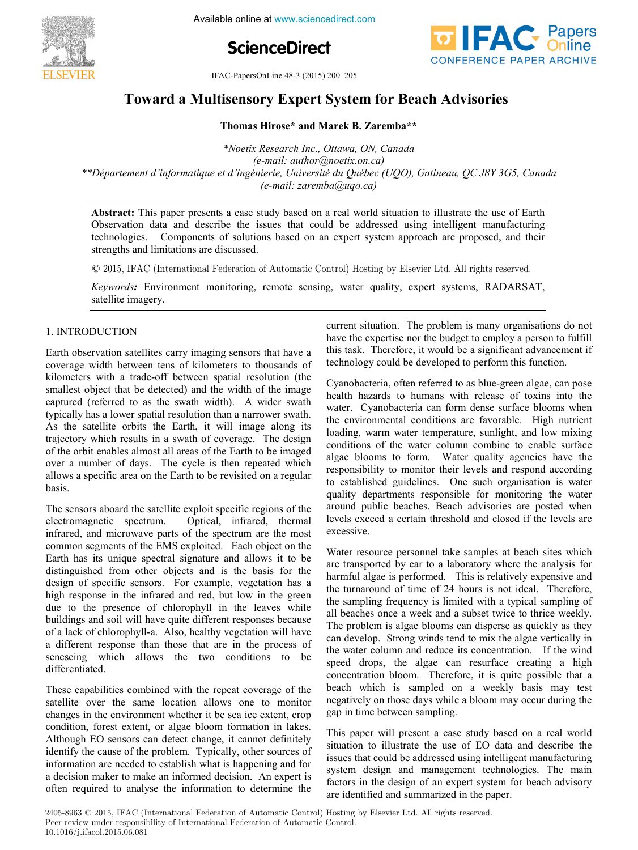

**Information Control Problems in Available online at www.sciencedirect.com** 





IFAC-PapersOnLine 48-3 (2015) 200-205

# Toward a Multisensory Expert System for Beach Advisories

**Thomas Hirose\* and Marek B. Zaremba\*\* Thomas Hirose\* and Marek B. Zaremba\*\*** *\*Noetix Research Inc., Ottawa, ON, Canada* **Thomas Hirose\* and Marek B. Zaremba\*\***

*\*Noetix Research Inc., Ottawa, ON, Canada (e-mail: author@noetix.on.ca) \*Noetix Research Inc., Ottawa, ON, Canada (e-mail: author@noetix.on.ca) \*\*Département d'informatique et d'ingénierie, Université du Québec (UQO), Gatineau, QC J8Y 3G5, Canada* e-mail: damo (de nouveauxionica)<br>\*\*Département d'informatique et d'ingénierie, Université du Québec (UQO), Gatineau, QC J8Y 3G5, Canada\*\*\* *(e-mail: author@noetix.on.ca) (e-mail: author@noetix.on.ca) (e-mail: zaremba@uqo.ca) (e-mail: zaremba@uqo.ca) \*\*Département d'informatique et d'ingénierie, Université du Québec (UQO), Gatineau, QC J8Y 3G5, Canada \*Noetix Research Inc., Ottawa, ON, Canada*

Observation data and describe the issues that could be addressed using intelligent manufacturing technologies. Components of solutions based on an expert system approach are proposed, and their strengths and limitations are discussed. **Abstract:** This paper presents a case study based on a real world situation to illustrate the use of Earth technologies. Components of solutions based on an expert system approach are proposed, and their

 $\odot$  2015, IFAC (International Federation of Automatic Control) Hosting by Elsevier Ltd. All rights reserved.

Keywords: Environment monitoring, remote sensing, water quality, expert systems, RADARSAT, satellite imagery. satellite imagery. satellite imagery.

#### 1. INTRODUCTION 1. INTRODUCTION 1. INTRODUCTION

Earth observation satellites carry imaging sensors that have a coverage width between tens of kilometers to thousands of kilometers with a trade-off between spatial resolution (the smallest object that be detected) and the width of the image captured (referred to as the swath width). A wider swath typically has a lower spatial resolution than a narrower swath. As the satellite orbits the Earth, it will image along its trajectory which results in a swath of coverage. The design of the orbit enables almost all areas of the Earth to be imaged over a number of days. The cycle is then repeated which allows a specific area on the Earth to be revisited on a regular basis. basis. allows a specific area on the Earth to be revisited on a regular<br>basis. allows a specific area on the Earth to be reached on a regular  $\theta$ 

The sensors aboard the satellite exploit specific regions of the<br>electromagnetic spectrum. Optical, infrared, thermal electromagnetic spectrum. Optical, infrared, thermal electromagnetic spectrum. Optical, infrared, thermal infrared, and microwave parts of the spectrum are the most common segments of the EMS exploited. Each object on the Earth has its unique spectral signature and allows it to be distinguished from other objects and is the basis for the design of specific sensors. For example, vegetation has a high response in the infrared and red, but low in the green due to the presence of chlorophyll in the leaves while buildings and soil will have quite different responses because of a lack of chlorophyll-a. Also, healthy vegetation will have a different response than those that are in the process of a different response than those that are in the process of senescing which allows the two conditions to be differentiated. differentiated. senescing which allows the two conditions to be<br>differentiated  $s_{\text{differential}}$ 

These capabilities combined with the repeat coverage of the satellite over the same location allows one to monitor changes in the environment whether it be sea ice extent, crop enanges in the environment whence it be sea fee extent, crop<br>condition, forest extent, or algae bloom formation in lakes. Although EO sensors can detect change, it cannot definitely identify the cause of the problem. Typically, other sources of information are needed to establish what is happening and for a decision maker to make an informed decision. An expert is a decision maker to make an informed decision. An expert is<br>often required to analyse the information to determine the often required to analyse the information to determine the  $\overline{\text{a}}$  decreases to make an information to determine the often required to analyse the information to determine the current situation. The problem is many organisations do not have the expertise nor the budget to employ a person to fulfill this task. Therefore, it would be a significant advancement if this task. Therefore, it would be a significant advancement if technology could be developed to perform this function. technology could be developed to perform this function. current situation. The problem is many organisations do not  $\alpha$  technology could be developed to perform this function  $\frac{1}{1}$  could be developed to perform the performance of perform the perform this function.

Cyanobacteria, often referred to as blue-green algae, can pose bealth hazards to humans with release of toxins into the water. Cyanobacteria can form dense surface blooms when the environmental conditions are favorable. High nutrient loading, warm water temperature, sunlight, and low mixing colding, warm water temperature, samigin, and low mixing algae blooms to form. Water quality agencies have the responsibility to monitor their levels and respond according to established guidelines. One such organisation is water quality departments responsible for monitoring the water around public beaches. Beach advisories are posted when around public beaches. Beach advisories are posted when<br>levels exceed a certain threshold and closed if the levels are excessive. excessive. levels exceed a certain threshold and closed if the levels are proposition. levels exceed a certain threshold and closed if the levels are

Water resource personnel take samples at beach sites which are transported by car to a laboratory where the analysis for harmful algae is performed. This is relatively expensive and the turnaround of time of 24 hours is not ideal. Therefore, the sampling frequency is limited with a typical sampling of all beaches once a week and a subset twice to thrice weekly. The problem is algae blooms can disperse as quickly as they can develop. Strong winds tend to mix the algae vertically in the water column and reduce its concentration. If the wind speed drops, the algae can resurface creating a high speed drops, the algae can resurface creating a high concentration bloom. Therefore, it is quite possible that a beach which is sampled on a weekly basis may test beach which is sampled on a weekly basis may test<br>negatively on those days while a bloom may occur during the gap in time between sampling. gap in time between sampling. negatively on those days while a bloom may occur during the  $\frac{1}{2}$  oan in time between sampling the bloom may occur during the  $\frac{1}{2}$  $\mathcal{G}^{\alpha}$  in time between sampling.

This paper will present a case study based on a real world situation to illustrate the use of EO data and describe the issues that could be addressed using intelligent manufacturing system design and management technologies. The main system design and management technologies. The main ractors in the design of an expert system for beach advisory<br>are identified and summarized in the paper. are identified and summarized in the paper. This paper will present a case study based on a real world  $\frac{1}{2}$  are identified and summarized in the naner

2405-8963 © 2015, IFAC (International Federation of Automatic Control) Hosting by Elsevier Ltd. All rights reserved. Peer review under responsibility of International Federation of Automatic Control.<br>
10,1016  $\frac{1}{2}$  if and 2015 06,021 **10.1016/j.ifacol.2015.06.081**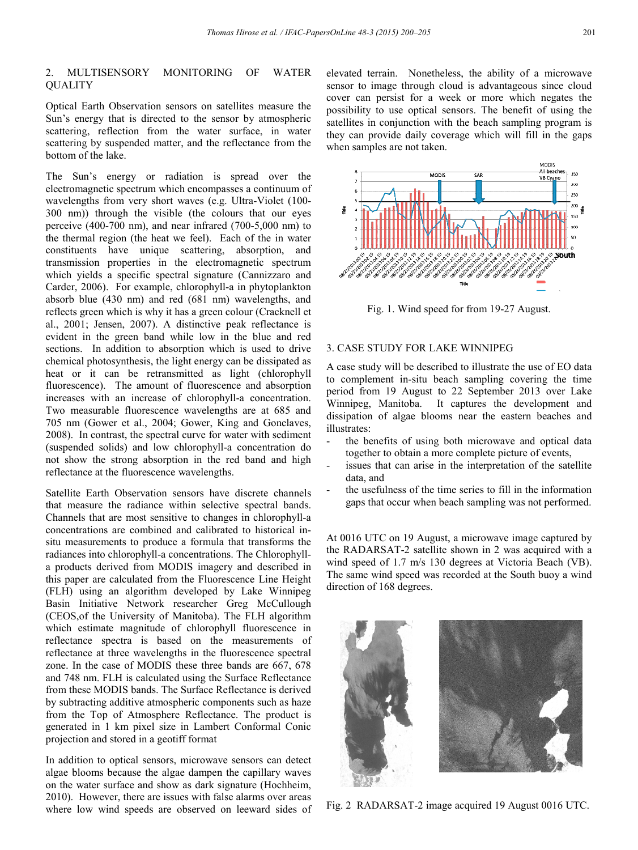## 2. MULTISENSORY MONITORING OF WATER **QUALITY**

Optical Earth Observation sensors on satellites measure the Sun's energy that is directed to the sensor by atmospheric scattering, reflection from the water surface, in water scattering by suspended matter, and the reflectance from the bottom of the lake.

The Sun's energy or radiation is spread over the electromagnetic spectrum which encompasses a continuum of wavelengths from very short waves (e.g. Ultra-Violet (100- 300 nm)) through the visible (the colours that our eyes perceive (400-700 nm), and near infrared (700-5,000 nm) to the thermal region (the heat we feel). Each of the in water constituents have unique scattering, absorption, and transmission properties in the electromagnetic spectrum which yields a specific spectral signature (Cannizzaro and Carder, 2006). For example, chlorophyll-a in phytoplankton absorb blue (430 nm) and red (681 nm) wavelengths, and reflects green which is why it has a green colour (Cracknell et al., 2001; Jensen, 2007). A distinctive peak reflectance is evident in the green band while low in the blue and red sections. In addition to absorption which is used to drive chemical photosynthesis, the light energy can be dissipated as heat or it can be retransmitted as light (chlorophyll fluorescence). The amount of fluorescence and absorption increases with an increase of chlorophyll-a concentration. Two measurable fluorescence wavelengths are at 685 and 705 nm (Gower et al., 2004; Gower, King and Gonclaves, 2008). In contrast, the spectral curve for water with sediment (suspended solids) and low chlorophyll-a concentration do not show the strong absorption in the red band and high reflectance at the fluorescence wavelengths.

Satellite Earth Observation sensors have discrete channels that measure the radiance within selective spectral bands. Channels that are most sensitive to changes in chlorophyll-a concentrations are combined and calibrated to historical insitu measurements to produce a formula that transforms the radiances into chlorophyll-a concentrations. The Chlorophylla products derived from MODIS imagery and described in this paper are calculated from the Fluorescence Line Height (FLH) using an algorithm developed by Lake Winnipeg Basin Initiative Network researcher Greg McCullough (CEOS,of the University of Manitoba). The FLH algorithm which estimate magnitude of chlorophyll fluorescence in reflectance spectra is based on the measurements of reflectance at three wavelengths in the fluorescence spectral zone. In the case of MODIS these three bands are 667, 678 and 748 nm. FLH is calculated using the Surface Reflectance from these MODIS bands. The Surface Reflectance is derived by subtracting additive atmospheric components such as haze from the Top of Atmosphere Reflectance. The product is generated in 1 km pixel size in Lambert Conformal Conic projection and stored in a geotiff format

In addition to optical sensors, microwave sensors can detect algae blooms because the algae dampen the capillary waves on the water surface and show as dark signature (Hochheim, 2010). However, there are issues with false alarms over areas where low wind speeds are observed on leeward sides of

elevated terrain. Nonetheless, the ability of a microwave sensor to image through cloud is advantageous since cloud cover can persist for a week or more which negates the possibility to use optical sensors. The benefit of using the satellites in conjunction with the beach sampling program is they can provide daily coverage which will fill in the gaps when samples are not taken.



Fig. 1. Wind speed for from 19-27 August.

### 3. CASE STUDY FOR LAKE WINNIPEG

A case study will be described to illustrate the use of EO data to complement in-situ beach sampling covering the time period from 19 August to 22 September 2013 over Lake Winnipeg, Manitoba. It captures the development and dissipation of algae blooms near the eastern beaches and illustrates:

- the benefits of using both microwave and optical data together to obtain a more complete picture of events,
- issues that can arise in the interpretation of the satellite data, and
- the usefulness of the time series to fill in the information gaps that occur when beach sampling was not performed.

At 0016 UTC on 19 August, a microwave image captured by the RADARSAT-2 satellite shown in 2 was acquired with a wind speed of 1.7 m/s 130 degrees at Victoria Beach (VB). The same wind speed was recorded at the South buoy a wind direction of 168 degrees.



Fig. 2 RADARSAT-2 image acquired 19 August 0016 UTC.